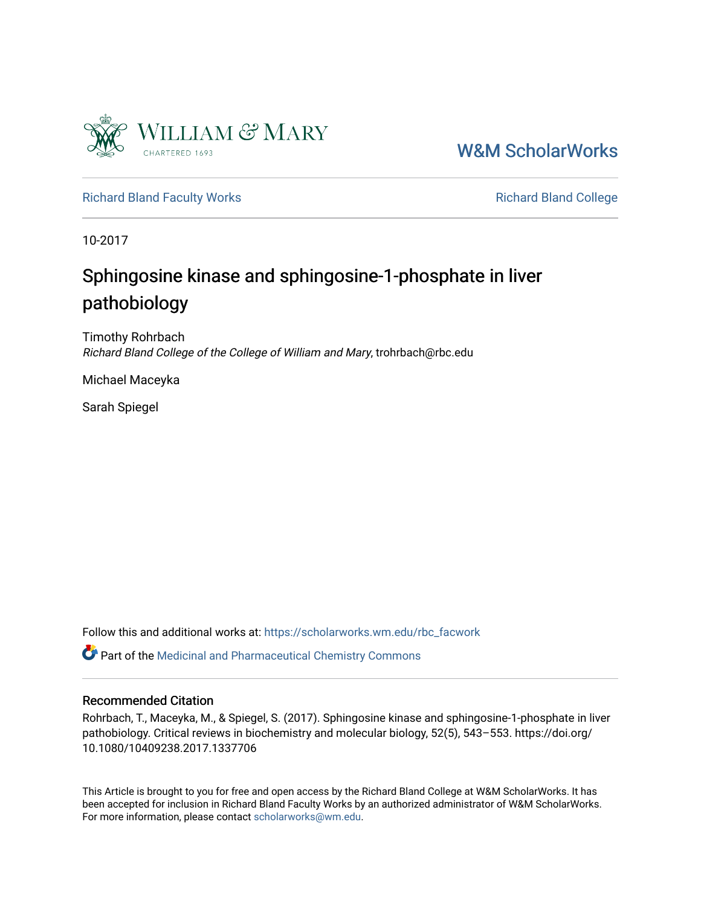

[W&M ScholarWorks](https://scholarworks.wm.edu/) 

[Richard Bland Faculty Works](https://scholarworks.wm.edu/rbc_facwork) **Richard Bland College** Richard Bland College

10-2017

# Sphingosine kinase and sphingosine-1-phosphate in liver pathobiology

Timothy Rohrbach Richard Bland College of the College of William and Mary, trohrbach@rbc.edu

Michael Maceyka

Sarah Spiegel

Follow this and additional works at: [https://scholarworks.wm.edu/rbc\\_facwork](https://scholarworks.wm.edu/rbc_facwork?utm_source=scholarworks.wm.edu%2Frbc_facwork%2F16&utm_medium=PDF&utm_campaign=PDFCoverPages) 

Part of the [Medicinal and Pharmaceutical Chemistry Commons](http://network.bepress.com/hgg/discipline/734?utm_source=scholarworks.wm.edu%2Frbc_facwork%2F16&utm_medium=PDF&utm_campaign=PDFCoverPages) 

# Recommended Citation

Rohrbach, T., Maceyka, M., & Spiegel, S. (2017). Sphingosine kinase and sphingosine-1-phosphate in liver pathobiology. Critical reviews in biochemistry and molecular biology, 52(5), 543–553. https://doi.org/ 10.1080/10409238.2017.1337706

This Article is brought to you for free and open access by the Richard Bland College at W&M ScholarWorks. It has been accepted for inclusion in Richard Bland Faculty Works by an authorized administrator of W&M ScholarWorks. For more information, please contact [scholarworks@wm.edu](mailto:scholarworks@wm.edu).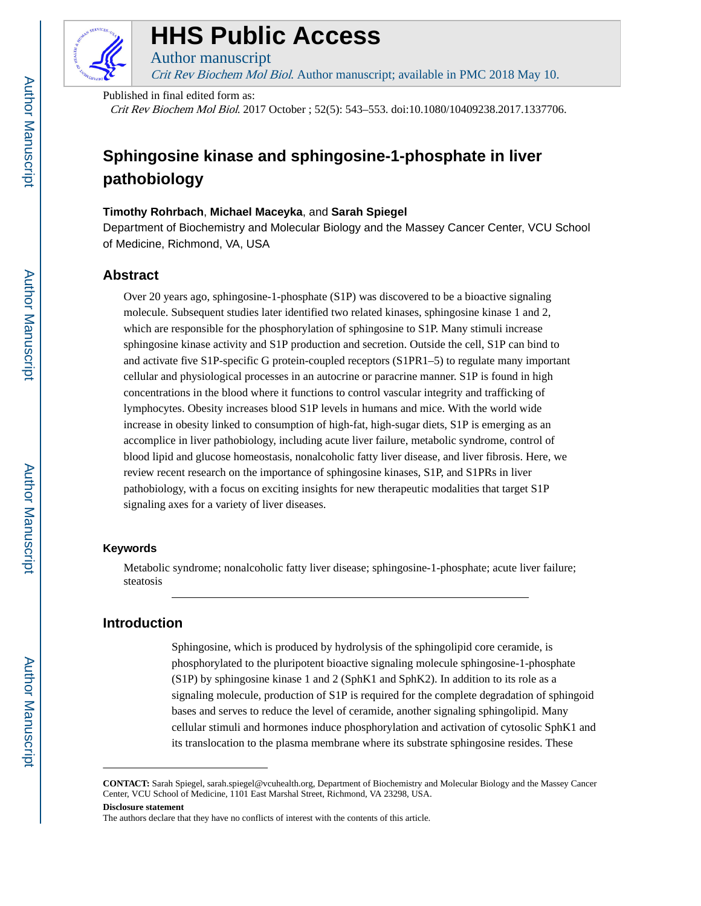

# **HHS Public Access**

Crit Rev Biochem Mol Biol. Author manuscript; available in PMC 2018 May 10.

Published in final edited form as:

Author manuscript

Crit Rev Biochem Mol Biol. 2017 October ; 52(5): 543–553. doi:10.1080/10409238.2017.1337706.

# **Sphingosine kinase and sphingosine-1-phosphate in liver pathobiology**

#### **Timothy Rohrbach**, **Michael Maceyka**, and **Sarah Spiegel**

Department of Biochemistry and Molecular Biology and the Massey Cancer Center, VCU School of Medicine, Richmond, VA, USA

# **Abstract**

Over 20 years ago, sphingosine-1-phosphate (S1P) was discovered to be a bioactive signaling molecule. Subsequent studies later identified two related kinases, sphingosine kinase 1 and 2, which are responsible for the phosphorylation of sphingosine to S1P. Many stimuli increase sphingosine kinase activity and S1P production and secretion. Outside the cell, S1P can bind to and activate five S1P-specific G protein-coupled receptors (S1PR1–5) to regulate many important cellular and physiological processes in an autocrine or paracrine manner. S1P is found in high concentrations in the blood where it functions to control vascular integrity and trafficking of lymphocytes. Obesity increases blood S1P levels in humans and mice. With the world wide increase in obesity linked to consumption of high-fat, high-sugar diets, S1P is emerging as an accomplice in liver pathobiology, including acute liver failure, metabolic syndrome, control of blood lipid and glucose homeostasis, nonalcoholic fatty liver disease, and liver fibrosis. Here, we review recent research on the importance of sphingosine kinases, S1P, and S1PRs in liver pathobiology, with a focus on exciting insights for new therapeutic modalities that target S1P signaling axes for a variety of liver diseases.

#### **Keywords**

Metabolic syndrome; nonalcoholic fatty liver disease; sphingosine-1-phosphate; acute liver failure; steatosis

# **Introduction**

Sphingosine, which is produced by hydrolysis of the sphingolipid core ceramide, is phosphorylated to the pluripotent bioactive signaling molecule sphingosine-1-phosphate (S1P) by sphingosine kinase 1 and 2 (SphK1 and SphK2). In addition to its role as a signaling molecule, production of S1P is required for the complete degradation of sphingoid bases and serves to reduce the level of ceramide, another signaling sphingolipid. Many cellular stimuli and hormones induce phosphorylation and activation of cytosolic SphK1 and its translocation to the plasma membrane where its substrate sphingosine resides. These

**CONTACT:** Sarah Spiegel, sarah.spiegel@vcuhealth.org, Department of Biochemistry and Molecular Biology and the Massey Cancer Center, VCU School of Medicine, 1101 East Marshal Street, Richmond, VA 23298, USA.

**Disclosure statement**

The authors declare that they have no conflicts of interest with the contents of this article.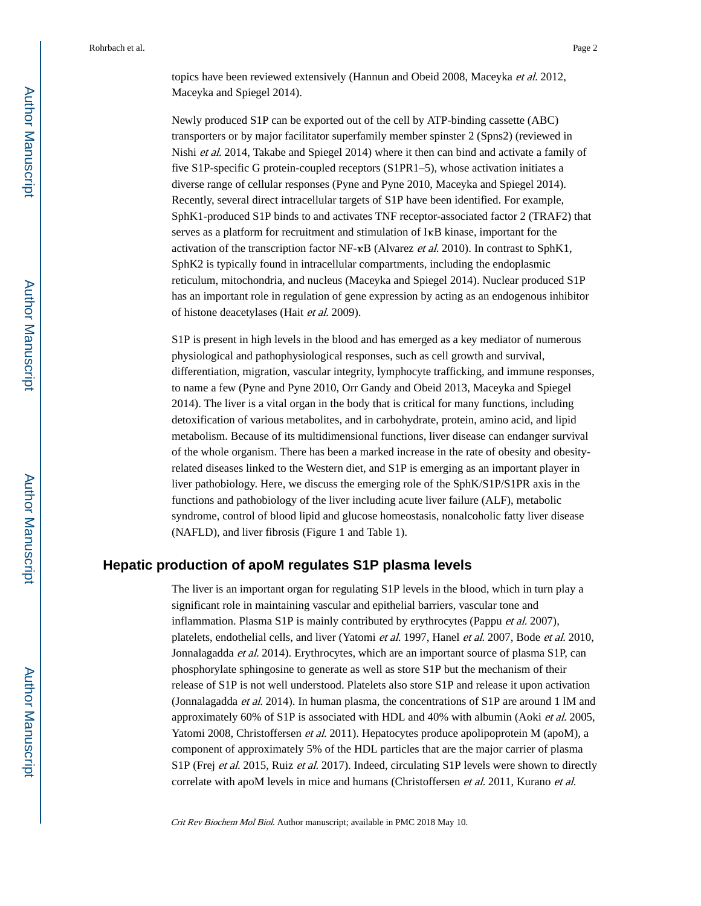topics have been reviewed extensively (Hannun and Obeid 2008, Maceyka et al. 2012, Maceyka and Spiegel 2014).

Newly produced S1P can be exported out of the cell by ATP-binding cassette (ABC) transporters or by major facilitator superfamily member spinster 2 (Spns2) (reviewed in Nishi et al. 2014, Takabe and Spiegel 2014) where it then can bind and activate a family of five S1P-specific G protein-coupled receptors (S1PR1–5), whose activation initiates a diverse range of cellular responses (Pyne and Pyne 2010, Maceyka and Spiegel 2014). Recently, several direct intracellular targets of S1P have been identified. For example, SphK1-produced S1P binds to and activates TNF receptor-associated factor 2 (TRAF2) that serves as a platform for recruitment and stimulation of IκB kinase, important for the activation of the transcription factor  $NF-\kappa B$  (Alvarez *et al.* 2010). In contrast to SphK1, SphK2 is typically found in intracellular compartments, including the endoplasmic reticulum, mitochondria, and nucleus (Maceyka and Spiegel 2014). Nuclear produced S1P has an important role in regulation of gene expression by acting as an endogenous inhibitor of histone deacetylases (Hait et al. 2009).

S1P is present in high levels in the blood and has emerged as a key mediator of numerous physiological and pathophysiological responses, such as cell growth and survival, differentiation, migration, vascular integrity, lymphocyte trafficking, and immune responses, to name a few (Pyne and Pyne 2010, Orr Gandy and Obeid 2013, Maceyka and Spiegel 2014). The liver is a vital organ in the body that is critical for many functions, including detoxification of various metabolites, and in carbohydrate, protein, amino acid, and lipid metabolism. Because of its multidimensional functions, liver disease can endanger survival of the whole organism. There has been a marked increase in the rate of obesity and obesityrelated diseases linked to the Western diet, and S1P is emerging as an important player in liver pathobiology. Here, we discuss the emerging role of the SphK/S1P/S1PR axis in the functions and pathobiology of the liver including acute liver failure (ALF), metabolic syndrome, control of blood lipid and glucose homeostasis, nonalcoholic fatty liver disease (NAFLD), and liver fibrosis (Figure 1 and Table 1).

# **Hepatic production of apoM regulates S1P plasma levels**

The liver is an important organ for regulating S1P levels in the blood, which in turn play a significant role in maintaining vascular and epithelial barriers, vascular tone and inflammation. Plasma S1P is mainly contributed by erythrocytes (Pappu et al. 2007), platelets, endothelial cells, and liver (Yatomi et al. 1997, Hanel et al. 2007, Bode et al. 2010, Jonnalagadda et al. 2014). Erythrocytes, which are an important source of plasma S1P, can phosphorylate sphingosine to generate as well as store S1P but the mechanism of their release of S1P is not well understood. Platelets also store S1P and release it upon activation (Jonnalagadda et al. 2014). In human plasma, the concentrations of S1P are around 1 lM and approximately 60% of S1P is associated with HDL and 40% with albumin (Aoki et al. 2005, Yatomi 2008, Christoffersen *et al.* 2011). Hepatocytes produce apolipoprotein M (apoM), a component of approximately 5% of the HDL particles that are the major carrier of plasma S1P (Frej *et al.* 2015, Ruiz *et al.* 2017). Indeed, circulating S1P levels were shown to directly correlate with apoM levels in mice and humans (Christoffersen *et al.* 2011, Kurano *et al.*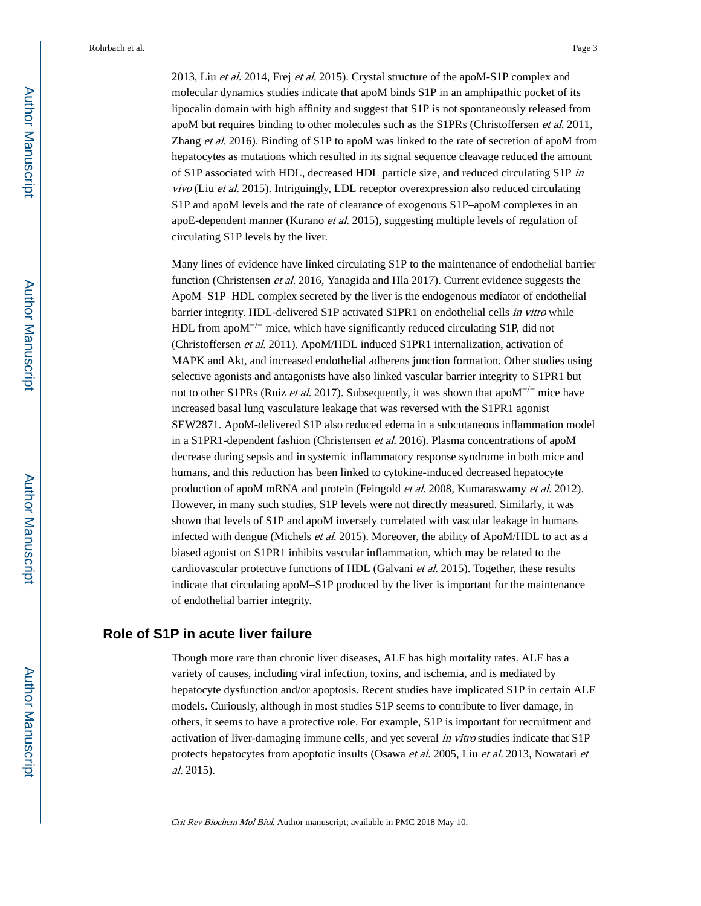2013, Liu et al. 2014, Frej et al. 2015). Crystal structure of the apoM-S1P complex and molecular dynamics studies indicate that apoM binds S1P in an amphipathic pocket of its lipocalin domain with high affinity and suggest that S1P is not spontaneously released from apoM but requires binding to other molecules such as the S1PRs (Christoffersen et al. 2011, Zhang et al. 2016). Binding of S1P to apoM was linked to the rate of secretion of apoM from hepatocytes as mutations which resulted in its signal sequence cleavage reduced the amount of S1P associated with HDL, decreased HDL particle size, and reduced circulating S1P in vivo (Liu et al. 2015). Intriguingly, LDL receptor overexpression also reduced circulating S1P and apoM levels and the rate of clearance of exogenous S1P–apoM complexes in an apoE-dependent manner (Kurano et al. 2015), suggesting multiple levels of regulation of circulating S1P levels by the liver.

Many lines of evidence have linked circulating S1P to the maintenance of endothelial barrier function (Christensen *et al.* 2016, Yanagida and Hla 2017). Current evidence suggests the ApoM–S1P–HDL complex secreted by the liver is the endogenous mediator of endothelial barrier integrity. HDL-delivered S1P activated S1PR1 on endothelial cells in vitro while HDL from apoM<sup>-/-</sup> mice, which have significantly reduced circulating S1P, did not (Christoffersen et al. 2011). ApoM/HDL induced S1PR1 internalization, activation of MAPK and Akt, and increased endothelial adherens junction formation. Other studies using selective agonists and antagonists have also linked vascular barrier integrity to S1PR1 but not to other S1PRs (Ruiz *et al.* 2017). Subsequently, it was shown that apo $M^{-/-}$  mice have increased basal lung vasculature leakage that was reversed with the S1PR1 agonist SEW2871. ApoM-delivered S1P also reduced edema in a subcutaneous inflammation model in a S1PR1-dependent fashion (Christensen et al. 2016). Plasma concentrations of apoM decrease during sepsis and in systemic inflammatory response syndrome in both mice and humans, and this reduction has been linked to cytokine-induced decreased hepatocyte production of apoM mRNA and protein (Feingold et al. 2008, Kumaraswamy et al. 2012). However, in many such studies, S1P levels were not directly measured. Similarly, it was shown that levels of S1P and apoM inversely correlated with vascular leakage in humans infected with dengue (Michels *et al.* 2015). Moreover, the ability of ApoM/HDL to act as a biased agonist on S1PR1 inhibits vascular inflammation, which may be related to the cardiovascular protective functions of HDL (Galvani et al. 2015). Together, these results indicate that circulating apoM–S1P produced by the liver is important for the maintenance of endothelial barrier integrity.

#### **Role of S1P in acute liver failure**

Though more rare than chronic liver diseases, ALF has high mortality rates. ALF has a variety of causes, including viral infection, toxins, and ischemia, and is mediated by hepatocyte dysfunction and/or apoptosis. Recent studies have implicated S1P in certain ALF models. Curiously, although in most studies S1P seems to contribute to liver damage, in others, it seems to have a protective role. For example, S1P is important for recruitment and activation of liver-damaging immune cells, and yet several in vitro studies indicate that S1P protects hepatocytes from apoptotic insults (Osawa et al. 2005, Liu et al. 2013, Nowatari et al. 2015).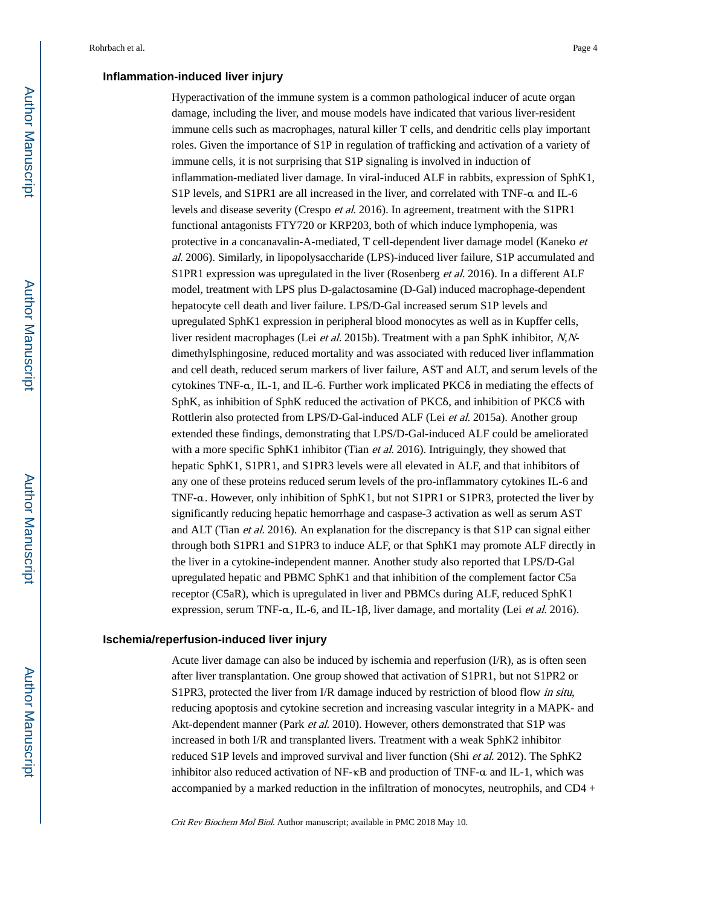#### **Inflammation-induced liver injury**

Hyperactivation of the immune system is a common pathological inducer of acute organ damage, including the liver, and mouse models have indicated that various liver-resident immune cells such as macrophages, natural killer T cells, and dendritic cells play important roles. Given the importance of S1P in regulation of trafficking and activation of a variety of immune cells, it is not surprising that S1P signaling is involved in induction of inflammation-mediated liver damage. In viral-induced ALF in rabbits, expression of SphK1, S1P levels, and S1PR1 are all increased in the liver, and correlated with TNF-α and IL-6 levels and disease severity (Crespo et al. 2016). In agreement, treatment with the S1PR1 functional antagonists FTY720 or KRP203, both of which induce lymphopenia, was protective in a concanavalin-A-mediated, T cell-dependent liver damage model (Kaneko et al. 2006). Similarly, in lipopolysaccharide (LPS)-induced liver failure, S1P accumulated and S1PR1 expression was upregulated in the liver (Rosenberg et al. 2016). In a different ALF model, treatment with LPS plus D-galactosamine (D-Gal) induced macrophage-dependent hepatocyte cell death and liver failure. LPS/D-Gal increased serum S1P levels and upregulated SphK1 expression in peripheral blood monocytes as well as in Kupffer cells, liver resident macrophages (Lei *et al.* 2015b). Treatment with a pan SphK inhibitor, N,Ndimethylsphingosine, reduced mortality and was associated with reduced liver inflammation and cell death, reduced serum markers of liver failure, AST and ALT, and serum levels of the cytokines TNF-α, IL-1, and IL-6. Further work implicated PKCδ in mediating the effects of SphK, as inhibition of SphK reduced the activation of PKCδ, and inhibition of PKCδ with Rottlerin also protected from LPS/D-Gal-induced ALF (Lei et al. 2015a). Another group extended these findings, demonstrating that LPS/D-Gal-induced ALF could be ameliorated with a more specific SphK1 inhibitor (Tian et al. 2016). Intriguingly, they showed that hepatic SphK1, S1PR1, and S1PR3 levels were all elevated in ALF, and that inhibitors of any one of these proteins reduced serum levels of the pro-inflammatory cytokines IL-6 and TNF-α. However, only inhibition of SphK1, but not S1PR1 or S1PR3, protected the liver by significantly reducing hepatic hemorrhage and caspase-3 activation as well as serum AST and ALT (Tian et al. 2016). An explanation for the discrepancy is that S1P can signal either through both S1PR1 and S1PR3 to induce ALF, or that SphK1 may promote ALF directly in the liver in a cytokine-independent manner. Another study also reported that LPS/D-Gal upregulated hepatic and PBMC SphK1 and that inhibition of the complement factor C5a receptor (C5aR), which is upregulated in liver and PBMCs during ALF, reduced SphK1 expression, serum TNF-α, IL-6, and IL-1β, liver damage, and mortality (Lei et al. 2016).

#### **Ischemia/reperfusion-induced liver injury**

Acute liver damage can also be induced by ischemia and reperfusion (I/R), as is often seen after liver transplantation. One group showed that activation of S1PR1, but not S1PR2 or S1PR3, protected the liver from I/R damage induced by restriction of blood flow in situ, reducing apoptosis and cytokine secretion and increasing vascular integrity in a MAPK- and Akt-dependent manner (Park et al. 2010). However, others demonstrated that S1P was increased in both I/R and transplanted livers. Treatment with a weak SphK2 inhibitor reduced S1P levels and improved survival and liver function (Shi et al. 2012). The SphK2 inhibitor also reduced activation of NF-κB and production of TNF-α and IL-1, which was accompanied by a marked reduction in the infiltration of monocytes, neutrophils, and CD4 +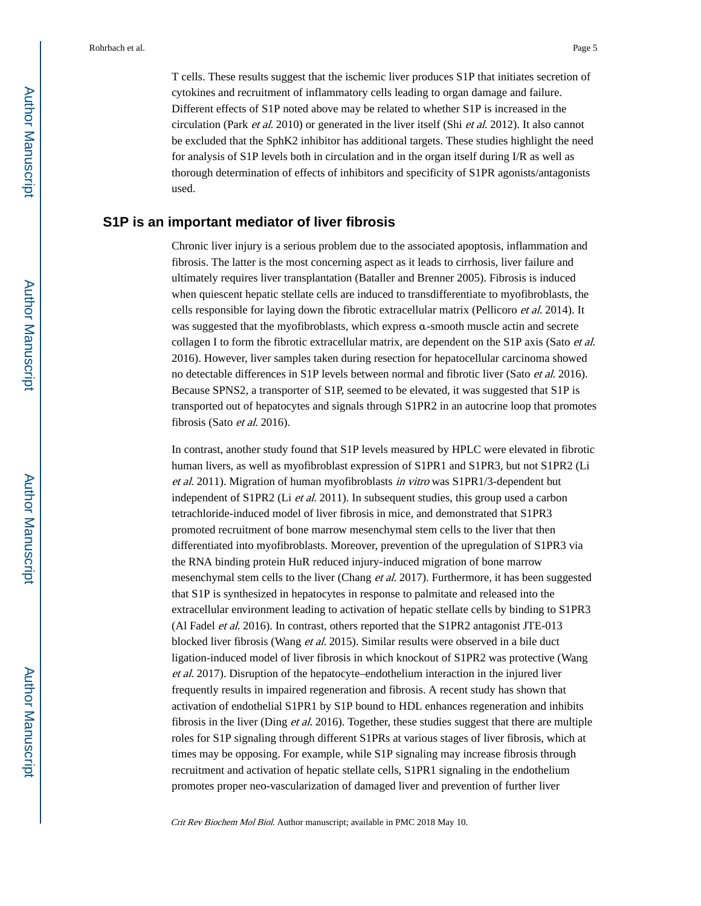T cells. These results suggest that the ischemic liver produces S1P that initiates secretion of cytokines and recruitment of inflammatory cells leading to organ damage and failure. Different effects of S1P noted above may be related to whether S1P is increased in the circulation (Park et al. 2010) or generated in the liver itself (Shi et al. 2012). It also cannot be excluded that the SphK2 inhibitor has additional targets. These studies highlight the need for analysis of S1P levels both in circulation and in the organ itself during I/R as well as thorough determination of effects of inhibitors and specificity of S1PR agonists/antagonists used.

# **S1P is an important mediator of liver fibrosis**

Chronic liver injury is a serious problem due to the associated apoptosis, inflammation and fibrosis. The latter is the most concerning aspect as it leads to cirrhosis, liver failure and ultimately requires liver transplantation (Bataller and Brenner 2005). Fibrosis is induced when quiescent hepatic stellate cells are induced to transdifferentiate to myofibroblasts, the cells responsible for laying down the fibrotic extracellular matrix (Pellicoro et al. 2014). It was suggested that the myofibroblasts, which express α-smooth muscle actin and secrete collagen I to form the fibrotic extracellular matrix, are dependent on the S1P axis (Sato et al. 2016). However, liver samples taken during resection for hepatocellular carcinoma showed no detectable differences in S1P levels between normal and fibrotic liver (Sato et al. 2016). Because SPNS2, a transporter of S1P, seemed to be elevated, it was suggested that S1P is transported out of hepatocytes and signals through S1PR2 in an autocrine loop that promotes fibrosis (Sato et al. 2016).

In contrast, another study found that S1P levels measured by HPLC were elevated in fibrotic human livers, as well as myofibroblast expression of S1PR1 and S1PR3, but not S1PR2 (Li et al. 2011). Migration of human myofibroblasts in vitro was S1PR1/3-dependent but independent of S1PR2 (Li et al. 2011). In subsequent studies, this group used a carbon tetrachloride-induced model of liver fibrosis in mice, and demonstrated that S1PR3 promoted recruitment of bone marrow mesenchymal stem cells to the liver that then differentiated into myofibroblasts. Moreover, prevention of the upregulation of S1PR3 via the RNA binding protein HuR reduced injury-induced migration of bone marrow mesenchymal stem cells to the liver (Chang et al. 2017). Furthermore, it has been suggested that S1P is synthesized in hepatocytes in response to palmitate and released into the extracellular environment leading to activation of hepatic stellate cells by binding to S1PR3 (Al Fadel et al. 2016). In contrast, others reported that the S1PR2 antagonist JTE-013 blocked liver fibrosis (Wang et al. 2015). Similar results were observed in a bile duct ligation-induced model of liver fibrosis in which knockout of S1PR2 was protective (Wang et al. 2017). Disruption of the hepatocyte–endothelium interaction in the injured liver frequently results in impaired regeneration and fibrosis. A recent study has shown that activation of endothelial S1PR1 by S1P bound to HDL enhances regeneration and inhibits fibrosis in the liver (Ding *et al.* 2016). Together, these studies suggest that there are multiple roles for S1P signaling through different S1PRs at various stages of liver fibrosis, which at times may be opposing. For example, while S1P signaling may increase fibrosis through recruitment and activation of hepatic stellate cells, S1PR1 signaling in the endothelium promotes proper neo-vascularization of damaged liver and prevention of further liver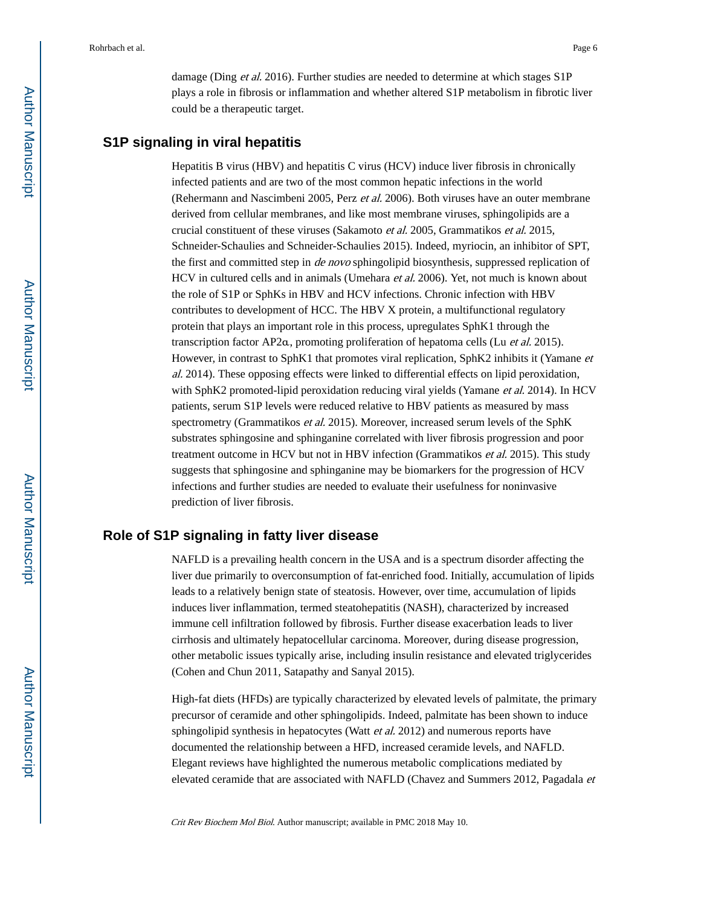damage (Ding *et al.* 2016). Further studies are needed to determine at which stages S1P plays a role in fibrosis or inflammation and whether altered S1P metabolism in fibrotic liver could be a therapeutic target.

#### **S1P signaling in viral hepatitis**

Hepatitis B virus (HBV) and hepatitis C virus (HCV) induce liver fibrosis in chronically infected patients and are two of the most common hepatic infections in the world (Rehermann and Nascimbeni 2005, Perz et al. 2006). Both viruses have an outer membrane derived from cellular membranes, and like most membrane viruses, sphingolipids are a crucial constituent of these viruses (Sakamoto et al. 2005, Grammatikos et al. 2015, Schneider-Schaulies and Schneider-Schaulies 2015). Indeed, myriocin, an inhibitor of SPT, the first and committed step in *de novo* sphingolipid biosynthesis, suppressed replication of HCV in cultured cells and in animals (Umehara et al. 2006). Yet, not much is known about the role of S1P or SphKs in HBV and HCV infections. Chronic infection with HBV contributes to development of HCC. The HBV X protein, a multifunctional regulatory protein that plays an important role in this process, upregulates SphK1 through the transcription factor AP2α, promoting proliferation of hepatoma cells (Lu et al. 2015). However, in contrast to SphK1 that promotes viral replication, SphK2 inhibits it (Yamane et al. 2014). These opposing effects were linked to differential effects on lipid peroxidation, with SphK2 promoted-lipid peroxidation reducing viral yields (Yamane et al. 2014). In HCV patients, serum S1P levels were reduced relative to HBV patients as measured by mass spectrometry (Grammatikos *et al.* 2015). Moreover, increased serum levels of the SphK substrates sphingosine and sphinganine correlated with liver fibrosis progression and poor treatment outcome in HCV but not in HBV infection (Grammatikos et al. 2015). This study suggests that sphingosine and sphinganine may be biomarkers for the progression of HCV infections and further studies are needed to evaluate their usefulness for noninvasive prediction of liver fibrosis.

# **Role of S1P signaling in fatty liver disease**

NAFLD is a prevailing health concern in the USA and is a spectrum disorder affecting the liver due primarily to overconsumption of fat-enriched food. Initially, accumulation of lipids leads to a relatively benign state of steatosis. However, over time, accumulation of lipids induces liver inflammation, termed steatohepatitis (NASH), characterized by increased immune cell infiltration followed by fibrosis. Further disease exacerbation leads to liver cirrhosis and ultimately hepatocellular carcinoma. Moreover, during disease progression, other metabolic issues typically arise, including insulin resistance and elevated triglycerides (Cohen and Chun 2011, Satapathy and Sanyal 2015).

High-fat diets (HFDs) are typically characterized by elevated levels of palmitate, the primary precursor of ceramide and other sphingolipids. Indeed, palmitate has been shown to induce sphingolipid synthesis in hepatocytes (Watt *et al.* 2012) and numerous reports have documented the relationship between a HFD, increased ceramide levels, and NAFLD. Elegant reviews have highlighted the numerous metabolic complications mediated by elevated ceramide that are associated with NAFLD (Chavez and Summers 2012, Pagadala et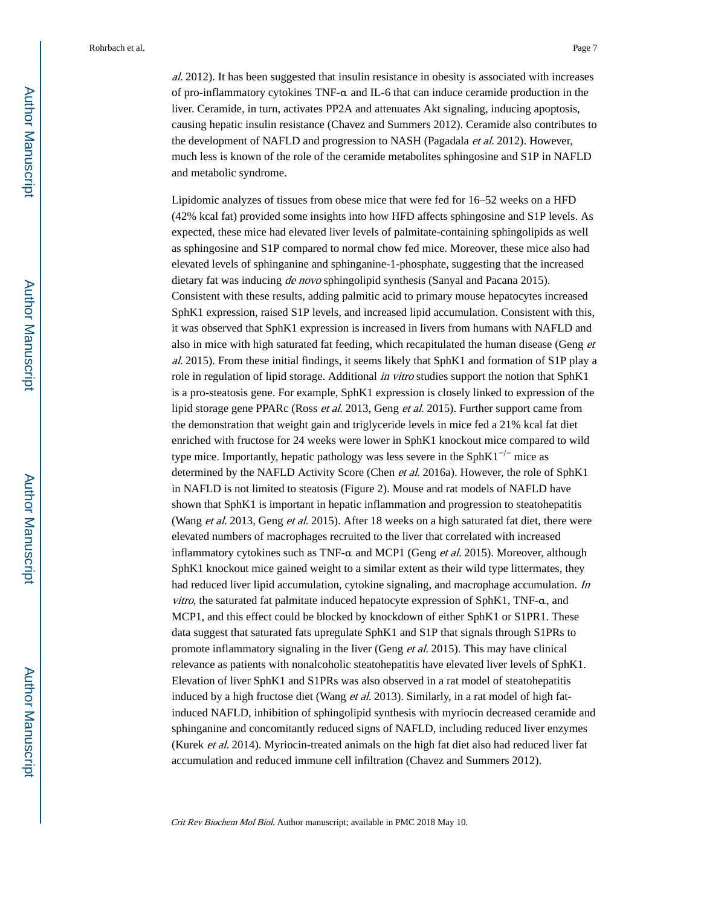al. 2012). It has been suggested that insulin resistance in obesity is associated with increases of pro-inflammatory cytokines TNF-α and IL-6 that can induce ceramide production in the liver. Ceramide, in turn, activates PP2A and attenuates Akt signaling, inducing apoptosis, causing hepatic insulin resistance (Chavez and Summers 2012). Ceramide also contributes to the development of NAFLD and progression to NASH (Pagadala et al. 2012). However, much less is known of the role of the ceramide metabolites sphingosine and S1P in NAFLD and metabolic syndrome.

Lipidomic analyzes of tissues from obese mice that were fed for 16–52 weeks on a HFD (42% kcal fat) provided some insights into how HFD affects sphingosine and S1P levels. As expected, these mice had elevated liver levels of palmitate-containing sphingolipids as well as sphingosine and S1P compared to normal chow fed mice. Moreover, these mice also had elevated levels of sphinganine and sphinganine-1-phosphate, suggesting that the increased dietary fat was inducing *de novo* sphingolipid synthesis (Sanyal and Pacana 2015). Consistent with these results, adding palmitic acid to primary mouse hepatocytes increased SphK1 expression, raised S1P levels, and increased lipid accumulation. Consistent with this, it was observed that SphK1 expression is increased in livers from humans with NAFLD and also in mice with high saturated fat feeding, which recapitulated the human disease (Geng et al. 2015). From these initial findings, it seems likely that SphK1 and formation of S1P play a role in regulation of lipid storage. Additional in vitro studies support the notion that SphK1 is a pro-steatosis gene. For example, SphK1 expression is closely linked to expression of the lipid storage gene PPARc (Ross et al. 2013, Geng et al. 2015). Further support came from the demonstration that weight gain and triglyceride levels in mice fed a 21% kcal fat diet enriched with fructose for 24 weeks were lower in SphK1 knockout mice compared to wild type mice. Importantly, hepatic pathology was less severe in the SphK1<sup> $-/-$ </sup> mice as determined by the NAFLD Activity Score (Chen et al. 2016a). However, the role of SphK1 in NAFLD is not limited to steatosis (Figure 2). Mouse and rat models of NAFLD have shown that SphK1 is important in hepatic inflammation and progression to steatohepatitis (Wang et al. 2013, Geng et al. 2015). After 18 weeks on a high saturated fat diet, there were elevated numbers of macrophages recruited to the liver that correlated with increased inflammatory cytokines such as TNF-α and MCP1 (Geng et al. 2015). Moreover, although SphK1 knockout mice gained weight to a similar extent as their wild type littermates, they had reduced liver lipid accumulation, cytokine signaling, and macrophage accumulation. In *vitro*, the saturated fat palmitate induced hepatocyte expression of  $\text{SphK1}, \text{TNF-a},$  and MCP1, and this effect could be blocked by knockdown of either SphK1 or S1PR1. These data suggest that saturated fats upregulate SphK1 and S1P that signals through S1PRs to promote inflammatory signaling in the liver (Geng *et al.* 2015). This may have clinical relevance as patients with nonalcoholic steatohepatitis have elevated liver levels of SphK1. Elevation of liver SphK1 and S1PRs was also observed in a rat model of steatohepatitis induced by a high fructose diet (Wang *et al.* 2013). Similarly, in a rat model of high fatinduced NAFLD, inhibition of sphingolipid synthesis with myriocin decreased ceramide and sphinganine and concomitantly reduced signs of NAFLD, including reduced liver enzymes (Kurek et al. 2014). Myriocin-treated animals on the high fat diet also had reduced liver fat accumulation and reduced immune cell infiltration (Chavez and Summers 2012).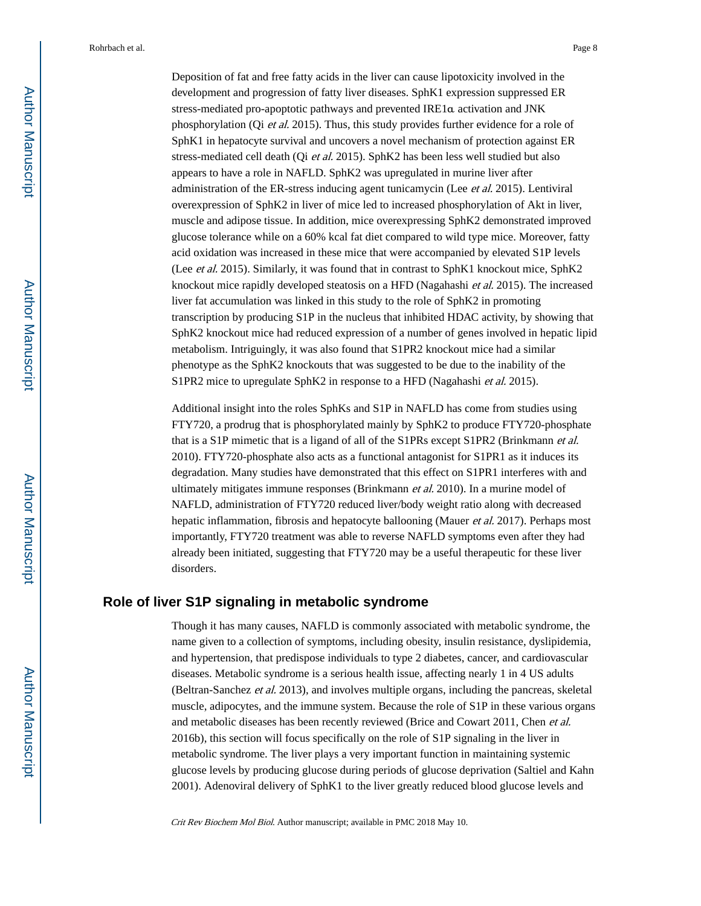Deposition of fat and free fatty acids in the liver can cause lipotoxicity involved in the development and progression of fatty liver diseases. SphK1 expression suppressed ER stress-mediated pro-apoptotic pathways and prevented IRE1α activation and JNK phosphorylation (Qi et al. 2015). Thus, this study provides further evidence for a role of SphK1 in hepatocyte survival and uncovers a novel mechanism of protection against ER stress-mediated cell death (Qi et al. 2015). SphK2 has been less well studied but also appears to have a role in NAFLD. SphK2 was upregulated in murine liver after administration of the ER-stress inducing agent tunicamycin (Lee et al. 2015). Lentiviral overexpression of SphK2 in liver of mice led to increased phosphorylation of Akt in liver, muscle and adipose tissue. In addition, mice overexpressing SphK2 demonstrated improved glucose tolerance while on a 60% kcal fat diet compared to wild type mice. Moreover, fatty acid oxidation was increased in these mice that were accompanied by elevated S1P levels (Lee et al. 2015). Similarly, it was found that in contrast to SphK1 knockout mice, SphK2 knockout mice rapidly developed steatosis on a HFD (Nagahashi et al. 2015). The increased liver fat accumulation was linked in this study to the role of SphK2 in promoting transcription by producing S1P in the nucleus that inhibited HDAC activity, by showing that SphK2 knockout mice had reduced expression of a number of genes involved in hepatic lipid metabolism. Intriguingly, it was also found that S1PR2 knockout mice had a similar phenotype as the SphK2 knockouts that was suggested to be due to the inability of the S1PR2 mice to upregulate SphK2 in response to a HFD (Nagahashi *et al.* 2015).

Additional insight into the roles SphKs and S1P in NAFLD has come from studies using FTY720, a prodrug that is phosphorylated mainly by SphK2 to produce FTY720-phosphate that is a S1P mimetic that is a ligand of all of the S1PRs except S1PR2 (Brinkmann *et al.*) 2010). FTY720-phosphate also acts as a functional antagonist for S1PR1 as it induces its degradation. Many studies have demonstrated that this effect on S1PR1 interferes with and ultimately mitigates immune responses (Brinkmann et al. 2010). In a murine model of NAFLD, administration of FTY720 reduced liver/body weight ratio along with decreased hepatic inflammation, fibrosis and hepatocyte ballooning (Mauer *et al.* 2017). Perhaps most importantly, FTY720 treatment was able to reverse NAFLD symptoms even after they had already been initiated, suggesting that FTY720 may be a useful therapeutic for these liver disorders.

## **Role of liver S1P signaling in metabolic syndrome**

Though it has many causes, NAFLD is commonly associated with metabolic syndrome, the name given to a collection of symptoms, including obesity, insulin resistance, dyslipidemia, and hypertension, that predispose individuals to type 2 diabetes, cancer, and cardiovascular diseases. Metabolic syndrome is a serious health issue, affecting nearly 1 in 4 US adults (Beltran-Sanchez et al. 2013), and involves multiple organs, including the pancreas, skeletal muscle, adipocytes, and the immune system. Because the role of S1P in these various organs and metabolic diseases has been recently reviewed (Brice and Cowart 2011, Chen et al. 2016b), this section will focus specifically on the role of S1P signaling in the liver in metabolic syndrome. The liver plays a very important function in maintaining systemic glucose levels by producing glucose during periods of glucose deprivation (Saltiel and Kahn 2001). Adenoviral delivery of SphK1 to the liver greatly reduced blood glucose levels and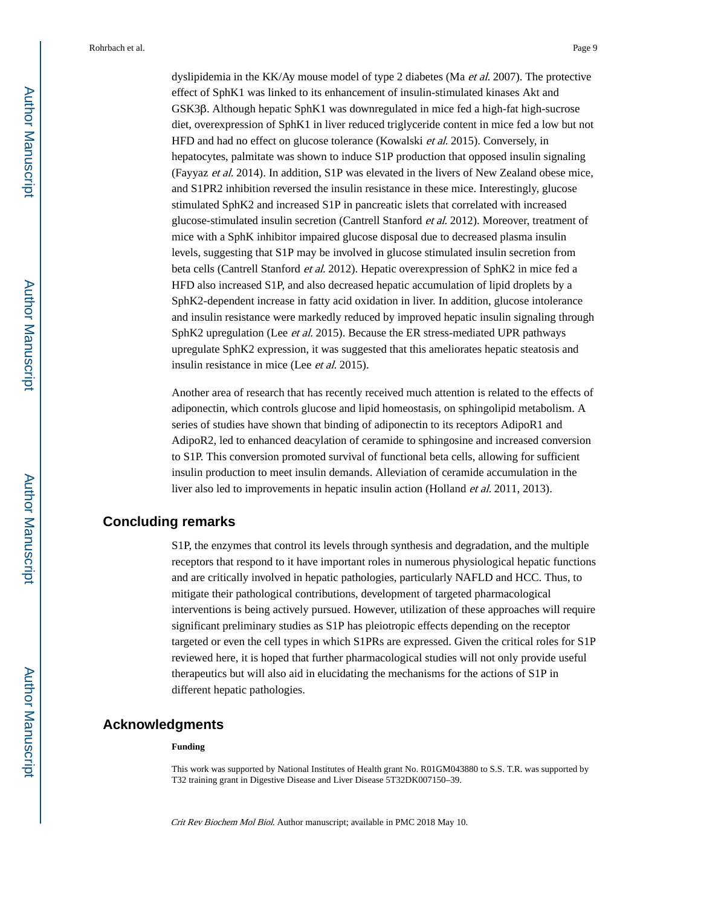dyslipidemia in the KK/Ay mouse model of type 2 diabetes (Ma et al. 2007). The protective effect of SphK1 was linked to its enhancement of insulin-stimulated kinases Akt and GSK3β. Although hepatic SphK1 was downregulated in mice fed a high-fat high-sucrose diet, overexpression of SphK1 in liver reduced triglyceride content in mice fed a low but not HFD and had no effect on glucose tolerance (Kowalski et al. 2015). Conversely, in hepatocytes, palmitate was shown to induce S1P production that opposed insulin signaling (Fayyaz et al. 2014). In addition, S1P was elevated in the livers of New Zealand obese mice, and S1PR2 inhibition reversed the insulin resistance in these mice. Interestingly, glucose stimulated SphK2 and increased S1P in pancreatic islets that correlated with increased glucose-stimulated insulin secretion (Cantrell Stanford et al. 2012). Moreover, treatment of mice with a SphK inhibitor impaired glucose disposal due to decreased plasma insulin levels, suggesting that S1P may be involved in glucose stimulated insulin secretion from beta cells (Cantrell Stanford et al. 2012). Hepatic overexpression of SphK2 in mice fed a HFD also increased S1P, and also decreased hepatic accumulation of lipid droplets by a SphK2-dependent increase in fatty acid oxidation in liver. In addition, glucose intolerance and insulin resistance were markedly reduced by improved hepatic insulin signaling through SphK2 upregulation (Lee et al. 2015). Because the ER stress-mediated UPR pathways upregulate SphK2 expression, it was suggested that this ameliorates hepatic steatosis and insulin resistance in mice (Lee et al. 2015).

Another area of research that has recently received much attention is related to the effects of adiponectin, which controls glucose and lipid homeostasis, on sphingolipid metabolism. A series of studies have shown that binding of adiponectin to its receptors AdipoR1 and AdipoR2, led to enhanced deacylation of ceramide to sphingosine and increased conversion to S1P. This conversion promoted survival of functional beta cells, allowing for sufficient insulin production to meet insulin demands. Alleviation of ceramide accumulation in the liver also led to improvements in hepatic insulin action (Holland et al. 2011, 2013).

# **Concluding remarks**

S1P, the enzymes that control its levels through synthesis and degradation, and the multiple receptors that respond to it have important roles in numerous physiological hepatic functions and are critically involved in hepatic pathologies, particularly NAFLD and HCC. Thus, to mitigate their pathological contributions, development of targeted pharmacological interventions is being actively pursued. However, utilization of these approaches will require significant preliminary studies as S1P has pleiotropic effects depending on the receptor targeted or even the cell types in which S1PRs are expressed. Given the critical roles for S1P reviewed here, it is hoped that further pharmacological studies will not only provide useful therapeutics but will also aid in elucidating the mechanisms for the actions of S1P in different hepatic pathologies.

#### **Acknowledgments**

#### **Funding**

This work was supported by National Institutes of Health grant No. R01GM043880 to S.S. T.R. was supported by T32 training grant in Digestive Disease and Liver Disease 5T32DK007150–39.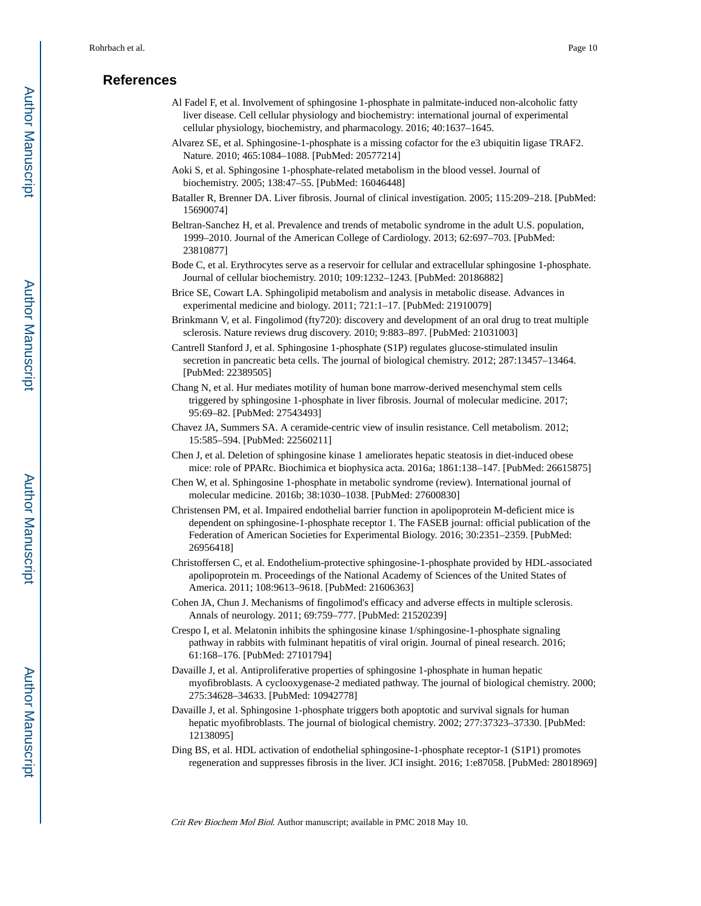# **References**

- Al Fadel F, et al. Involvement of sphingosine 1-phosphate in palmitate-induced non-alcoholic fatty liver disease. Cell cellular physiology and biochemistry: international journal of experimental cellular physiology, biochemistry, and pharmacology. 2016; 40:1637–1645.
- Alvarez SE, et al. Sphingosine-1-phosphate is a missing cofactor for the e3 ubiquitin ligase TRAF2. Nature. 2010; 465:1084–1088. [PubMed: 20577214]
- Aoki S, et al. Sphingosine 1-phosphate-related metabolism in the blood vessel. Journal of biochemistry. 2005; 138:47–55. [PubMed: 16046448]
- Bataller R, Brenner DA. Liver fibrosis. Journal of clinical investigation. 2005; 115:209–218. [PubMed: 15690074]
- Beltran-Sanchez H, et al. Prevalence and trends of metabolic syndrome in the adult U.S. population, 1999–2010. Journal of the American College of Cardiology. 2013; 62:697–703. [PubMed: 23810877]
- Bode C, et al. Erythrocytes serve as a reservoir for cellular and extracellular sphingosine 1-phosphate. Journal of cellular biochemistry. 2010; 109:1232–1243. [PubMed: 20186882]
- Brice SE, Cowart LA. Sphingolipid metabolism and analysis in metabolic disease. Advances in experimental medicine and biology. 2011; 721:1–17. [PubMed: 21910079]
- Brinkmann V, et al. Fingolimod (fty720): discovery and development of an oral drug to treat multiple sclerosis. Nature reviews drug discovery. 2010; 9:883–897. [PubMed: 21031003]
- Cantrell Stanford J, et al. Sphingosine 1-phosphate (S1P) regulates glucose-stimulated insulin secretion in pancreatic beta cells. The journal of biological chemistry. 2012; 287:13457–13464. [PubMed: 22389505]
- Chang N, et al. Hur mediates motility of human bone marrow-derived mesenchymal stem cells triggered by sphingosine 1-phosphate in liver fibrosis. Journal of molecular medicine. 2017; 95:69–82. [PubMed: 27543493]
- Chavez JA, Summers SA. A ceramide-centric view of insulin resistance. Cell metabolism. 2012; 15:585–594. [PubMed: 22560211]
- Chen J, et al. Deletion of sphingosine kinase 1 ameliorates hepatic steatosis in diet-induced obese mice: role of PPARc. Biochimica et biophysica acta. 2016a; 1861:138–147. [PubMed: 26615875]
- Chen W, et al. Sphingosine 1-phosphate in metabolic syndrome (review). International journal of molecular medicine. 2016b; 38:1030–1038. [PubMed: 27600830]
- Christensen PM, et al. Impaired endothelial barrier function in apolipoprotein M-deficient mice is dependent on sphingosine-1-phosphate receptor 1. The FASEB journal: official publication of the Federation of American Societies for Experimental Biology. 2016; 30:2351–2359. [PubMed: 26956418]
- Christoffersen C, et al. Endothelium-protective sphingosine-1-phosphate provided by HDL-associated apolipoprotein m. Proceedings of the National Academy of Sciences of the United States of America. 2011; 108:9613–9618. [PubMed: 21606363]
- Cohen JA, Chun J. Mechanisms of fingolimod's efficacy and adverse effects in multiple sclerosis. Annals of neurology. 2011; 69:759–777. [PubMed: 21520239]
- Crespo I, et al. Melatonin inhibits the sphingosine kinase 1/sphingosine-1-phosphate signaling pathway in rabbits with fulminant hepatitis of viral origin. Journal of pineal research. 2016; 61:168–176. [PubMed: 27101794]
- Davaille J, et al. Antiproliferative properties of sphingosine 1-phosphate in human hepatic myofibroblasts. A cyclooxygenase-2 mediated pathway. The journal of biological chemistry. 2000; 275:34628–34633. [PubMed: 10942778]
- Davaille J, et al. Sphingosine 1-phosphate triggers both apoptotic and survival signals for human hepatic myofibroblasts. The journal of biological chemistry. 2002; 277:37323–37330. [PubMed: 12138095]
- Ding BS, et al. HDL activation of endothelial sphingosine-1-phosphate receptor-1 (S1P1) promotes regeneration and suppresses fibrosis in the liver. JCI insight. 2016; 1:e87058. [PubMed: 28018969]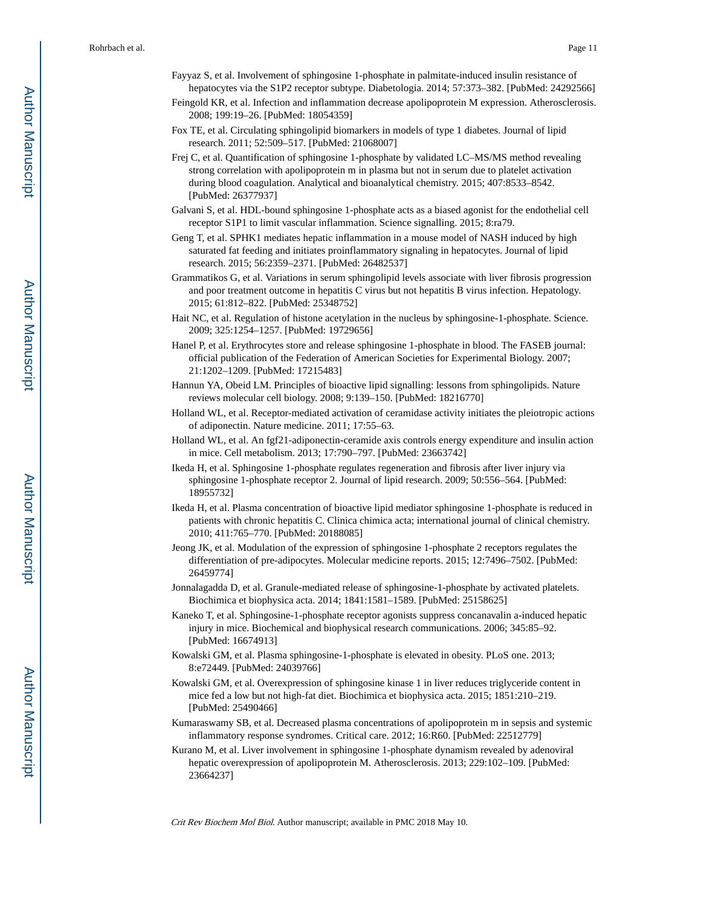- Fayyaz S, et al. Involvement of sphingosine 1-phosphate in palmitate-induced insulin resistance of hepatocytes via the S1P2 receptor subtype. Diabetologia. 2014; 57:373–382. [PubMed: 24292566]
- Feingold KR, et al. Infection and inflammation decrease apolipoprotein M expression. Atherosclerosis. 2008; 199:19–26. [PubMed: 18054359]
- Fox TE, et al. Circulating sphingolipid biomarkers in models of type 1 diabetes. Journal of lipid research. 2011; 52:509–517. [PubMed: 21068007]
- Frej C, et al. Quantification of sphingosine 1-phosphate by validated LC–MS/MS method revealing strong correlation with apolipoprotein m in plasma but not in serum due to platelet activation during blood coagulation. Analytical and bioanalytical chemistry. 2015; 407:8533–8542. [PubMed: 26377937]
- Galvani S, et al. HDL-bound sphingosine 1-phosphate acts as a biased agonist for the endothelial cell receptor S1P1 to limit vascular inflammation. Science signalling. 2015; 8:ra79.
- Geng T, et al. SPHK1 mediates hepatic inflammation in a mouse model of NASH induced by high saturated fat feeding and initiates proinflammatory signaling in hepatocytes. Journal of lipid research. 2015; 56:2359–2371. [PubMed: 26482537]
- Grammatikos G, et al. Variations in serum sphingolipid levels associate with liver fibrosis progression and poor treatment outcome in hepatitis C virus but not hepatitis B virus infection. Hepatology. 2015; 61:812–822. [PubMed: 25348752]
- Hait NC, et al. Regulation of histone acetylation in the nucleus by sphingosine-1-phosphate. Science. 2009; 325:1254–1257. [PubMed: 19729656]
- Hanel P, et al. Erythrocytes store and release sphingosine 1-phosphate in blood. The FASEB journal: official publication of the Federation of American Societies for Experimental Biology. 2007; 21:1202–1209. [PubMed: 17215483]
- Hannun YA, Obeid LM. Principles of bioactive lipid signalling: lessons from sphingolipids. Nature reviews molecular cell biology. 2008; 9:139–150. [PubMed: 18216770]
- Holland WL, et al. Receptor-mediated activation of ceramidase activity initiates the pleiotropic actions of adiponectin. Nature medicine. 2011; 17:55–63.
- Holland WL, et al. An fgf21-adiponectin-ceramide axis controls energy expenditure and insulin action in mice. Cell metabolism. 2013; 17:790–797. [PubMed: 23663742]
- Ikeda H, et al. Sphingosine 1-phosphate regulates regeneration and fibrosis after liver injury via sphingosine 1-phosphate receptor 2. Journal of lipid research. 2009; 50:556–564. [PubMed: 18955732]
- Ikeda H, et al. Plasma concentration of bioactive lipid mediator sphingosine 1-phosphate is reduced in patients with chronic hepatitis C. Clinica chimica acta; international journal of clinical chemistry. 2010; 411:765–770. [PubMed: 20188085]
- Jeong JK, et al. Modulation of the expression of sphingosine 1-phosphate 2 receptors regulates the differentiation of pre-adipocytes. Molecular medicine reports. 2015; 12:7496–7502. [PubMed: 26459774]
- Jonnalagadda D, et al. Granule-mediated release of sphingosine-1-phosphate by activated platelets. Biochimica et biophysica acta. 2014; 1841:1581–1589. [PubMed: 25158625]
- Kaneko T, et al. Sphingosine-1-phosphate receptor agonists suppress concanavalin a-induced hepatic injury in mice. Biochemical and biophysical research communications. 2006; 345:85–92. [PubMed: 16674913]
- Kowalski GM, et al. Plasma sphingosine-1-phosphate is elevated in obesity. PLoS one. 2013; 8:e72449. [PubMed: 24039766]
- Kowalski GM, et al. Overexpression of sphingosine kinase 1 in liver reduces triglyceride content in mice fed a low but not high-fat diet. Biochimica et biophysica acta. 2015; 1851:210–219. [PubMed: 25490466]
- Kumaraswamy SB, et al. Decreased plasma concentrations of apolipoprotein m in sepsis and systemic inflammatory response syndromes. Critical care. 2012; 16:R60. [PubMed: 22512779]
- Kurano M, et al. Liver involvement in sphingosine 1-phosphate dynamism revealed by adenoviral hepatic overexpression of apolipoprotein M. Atherosclerosis. 2013; 229:102–109. [PubMed: 23664237]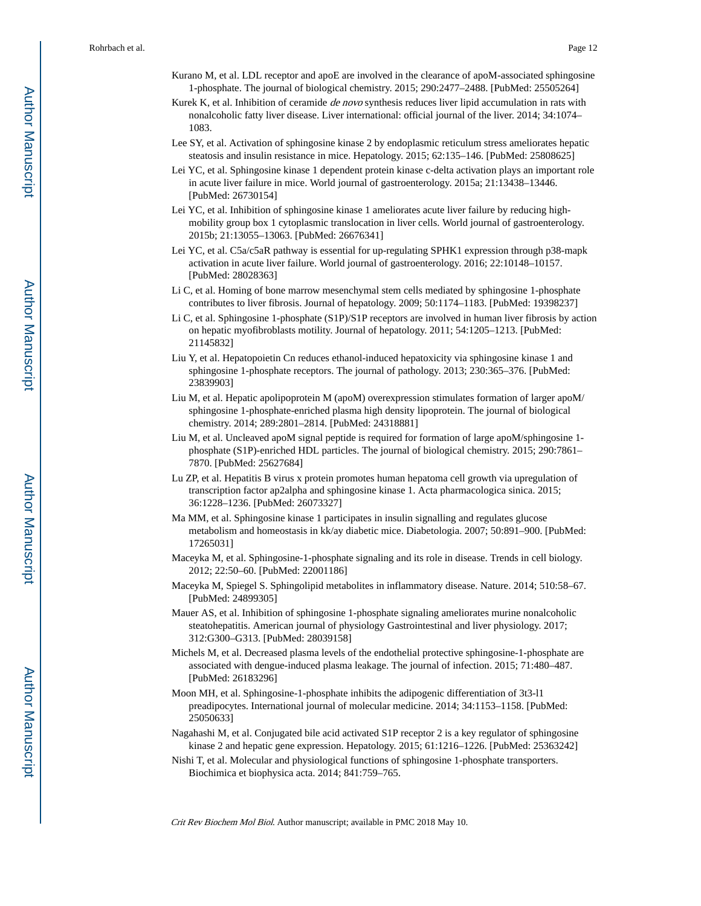- Kurano M, et al. LDL receptor and apoE are involved in the clearance of apoM-associated sphingosine 1-phosphate. The journal of biological chemistry. 2015; 290:2477–2488. [PubMed: 25505264]
- Kurek K, et al. Inhibition of ceramide *de novo* synthesis reduces liver lipid accumulation in rats with nonalcoholic fatty liver disease. Liver international: official journal of the liver. 2014; 34:1074– 1083.
- Lee SY, et al. Activation of sphingosine kinase 2 by endoplasmic reticulum stress ameliorates hepatic steatosis and insulin resistance in mice. Hepatology. 2015; 62:135–146. [PubMed: 25808625]
- Lei YC, et al. Sphingosine kinase 1 dependent protein kinase c-delta activation plays an important role in acute liver failure in mice. World journal of gastroenterology. 2015a; 21:13438–13446. [PubMed: 26730154]
- Lei YC, et al. Inhibition of sphingosine kinase 1 ameliorates acute liver failure by reducing highmobility group box 1 cytoplasmic translocation in liver cells. World journal of gastroenterology. 2015b; 21:13055–13063. [PubMed: 26676341]
- Lei YC, et al. C5a/c5aR pathway is essential for up-regulating SPHK1 expression through p38-mapk activation in acute liver failure. World journal of gastroenterology. 2016; 22:10148–10157. [PubMed: 28028363]
- Li C, et al. Homing of bone marrow mesenchymal stem cells mediated by sphingosine 1-phosphate contributes to liver fibrosis. Journal of hepatology. 2009; 50:1174–1183. [PubMed: 19398237]
- Li C, et al. Sphingosine 1-phosphate (S1P)/S1P receptors are involved in human liver fibrosis by action on hepatic myofibroblasts motility. Journal of hepatology. 2011; 54:1205–1213. [PubMed: 21145832]
- Liu Y, et al. Hepatopoietin Cn reduces ethanol-induced hepatoxicity via sphingosine kinase 1 and sphingosine 1-phosphate receptors. The journal of pathology. 2013; 230:365–376. [PubMed: 23839903]
- Liu M, et al. Hepatic apolipoprotein M (apoM) overexpression stimulates formation of larger apoM/ sphingosine 1-phosphate-enriched plasma high density lipoprotein. The journal of biological chemistry. 2014; 289:2801–2814. [PubMed: 24318881]
- Liu M, et al. Uncleaved apoM signal peptide is required for formation of large apoM/sphingosine 1 phosphate (S1P)-enriched HDL particles. The journal of biological chemistry. 2015; 290:7861– 7870. [PubMed: 25627684]
- Lu ZP, et al. Hepatitis B virus x protein promotes human hepatoma cell growth via upregulation of transcription factor ap2alpha and sphingosine kinase 1. Acta pharmacologica sinica. 2015; 36:1228–1236. [PubMed: 26073327]
- Ma MM, et al. Sphingosine kinase 1 participates in insulin signalling and regulates glucose metabolism and homeostasis in kk/ay diabetic mice. Diabetologia. 2007; 50:891–900. [PubMed: 17265031]
- Maceyka M, et al. Sphingosine-1-phosphate signaling and its role in disease. Trends in cell biology. 2012; 22:50–60. [PubMed: 22001186]
- Maceyka M, Spiegel S. Sphingolipid metabolites in inflammatory disease. Nature. 2014; 510:58–67. [PubMed: 24899305]
- Mauer AS, et al. Inhibition of sphingosine 1-phosphate signaling ameliorates murine nonalcoholic steatohepatitis. American journal of physiology Gastrointestinal and liver physiology. 2017; 312:G300–G313. [PubMed: 28039158]
- Michels M, et al. Decreased plasma levels of the endothelial protective sphingosine-1-phosphate are associated with dengue-induced plasma leakage. The journal of infection. 2015; 71:480–487. [PubMed: 26183296]
- Moon MH, et al. Sphingosine-1-phosphate inhibits the adipogenic differentiation of 3t3-l1 preadipocytes. International journal of molecular medicine. 2014; 34:1153–1158. [PubMed: 25050633]
- Nagahashi M, et al. Conjugated bile acid activated S1P receptor 2 is a key regulator of sphingosine kinase 2 and hepatic gene expression. Hepatology. 2015; 61:1216–1226. [PubMed: 25363242]
- Nishi T, et al. Molecular and physiological functions of sphingosine 1-phosphate transporters. Biochimica et biophysica acta. 2014; 841:759–765.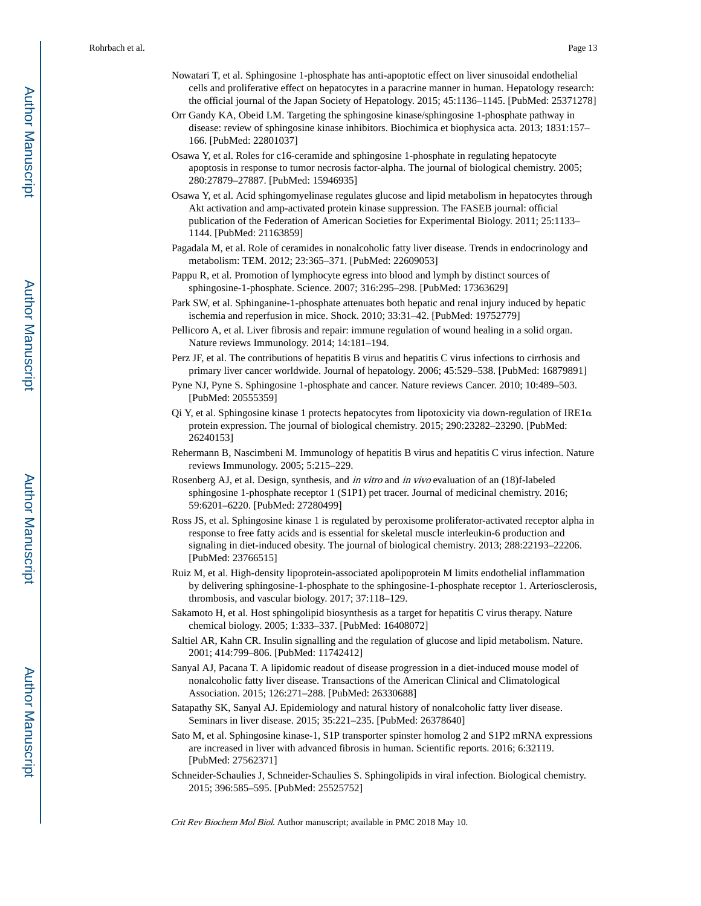- Nowatari T, et al. Sphingosine 1-phosphate has anti-apoptotic effect on liver sinusoidal endothelial cells and proliferative effect on hepatocytes in a paracrine manner in human. Hepatology research: the official journal of the Japan Society of Hepatology. 2015; 45:1136–1145. [PubMed: 25371278]
- Orr Gandy KA, Obeid LM. Targeting the sphingosine kinase/sphingosine 1-phosphate pathway in disease: review of sphingosine kinase inhibitors. Biochimica et biophysica acta. 2013; 1831:157– 166. [PubMed: 22801037]
- Osawa Y, et al. Roles for c16-ceramide and sphingosine 1-phosphate in regulating hepatocyte apoptosis in response to tumor necrosis factor-alpha. The journal of biological chemistry. 2005; 280:27879–27887. [PubMed: 15946935]
- Osawa Y, et al. Acid sphingomyelinase regulates glucose and lipid metabolism in hepatocytes through Akt activation and amp-activated protein kinase suppression. The FASEB journal: official publication of the Federation of American Societies for Experimental Biology. 2011; 25:1133– 1144. [PubMed: 21163859]
- Pagadala M, et al. Role of ceramides in nonalcoholic fatty liver disease. Trends in endocrinology and metabolism: TEM. 2012; 23:365–371. [PubMed: 22609053]
- Pappu R, et al. Promotion of lymphocyte egress into blood and lymph by distinct sources of sphingosine-1-phosphate. Science. 2007; 316:295–298. [PubMed: 17363629]
- Park SW, et al. Sphinganine-1-phosphate attenuates both hepatic and renal injury induced by hepatic ischemia and reperfusion in mice. Shock. 2010; 33:31–42. [PubMed: 19752779]
- Pellicoro A, et al. Liver fibrosis and repair: immune regulation of wound healing in a solid organ. Nature reviews Immunology. 2014; 14:181–194.
- Perz JF, et al. The contributions of hepatitis B virus and hepatitis C virus infections to cirrhosis and primary liver cancer worldwide. Journal of hepatology. 2006; 45:529–538. [PubMed: 16879891]
- Pyne NJ, Pyne S. Sphingosine 1-phosphate and cancer. Nature reviews Cancer. 2010; 10:489–503. [PubMed: 20555359]
- Qi Y, et al. Sphingosine kinase 1 protects hepatocytes from lipotoxicity via down-regulation of IRE1α protein expression. The journal of biological chemistry. 2015; 290:23282–23290. [PubMed: 26240153]
- Rehermann B, Nascimbeni M. Immunology of hepatitis B virus and hepatitis C virus infection. Nature reviews Immunology. 2005; 5:215–229.
- Rosenberg AJ, et al. Design, synthesis, and in vitro and in vivo evaluation of an (18)f-labeled sphingosine 1-phosphate receptor 1 (S1P1) pet tracer. Journal of medicinal chemistry. 2016; 59:6201–6220. [PubMed: 27280499]
- Ross JS, et al. Sphingosine kinase 1 is regulated by peroxisome proliferator-activated receptor alpha in response to free fatty acids and is essential for skeletal muscle interleukin-6 production and signaling in diet-induced obesity. The journal of biological chemistry. 2013; 288:22193–22206. [PubMed: 23766515]
- Ruiz M, et al. High-density lipoprotein-associated apolipoprotein M limits endothelial inflammation by delivering sphingosine-1-phosphate to the sphingosine-1-phosphate receptor 1. Arteriosclerosis, thrombosis, and vascular biology. 2017; 37:118–129.
- Sakamoto H, et al. Host sphingolipid biosynthesis as a target for hepatitis C virus therapy. Nature chemical biology. 2005; 1:333–337. [PubMed: 16408072]
- Saltiel AR, Kahn CR. Insulin signalling and the regulation of glucose and lipid metabolism. Nature. 2001; 414:799–806. [PubMed: 11742412]
- Sanyal AJ, Pacana T. A lipidomic readout of disease progression in a diet-induced mouse model of nonalcoholic fatty liver disease. Transactions of the American Clinical and Climatological Association. 2015; 126:271–288. [PubMed: 26330688]
- Satapathy SK, Sanyal AJ. Epidemiology and natural history of nonalcoholic fatty liver disease. Seminars in liver disease. 2015; 35:221–235. [PubMed: 26378640]
- Sato M, et al. Sphingosine kinase-1, S1P transporter spinster homolog 2 and S1P2 mRNA expressions are increased in liver with advanced fibrosis in human. Scientific reports. 2016; 6:32119. [PubMed: 27562371]
- Schneider-Schaulies J, Schneider-Schaulies S. Sphingolipids in viral infection. Biological chemistry. 2015; 396:585–595. [PubMed: 25525752]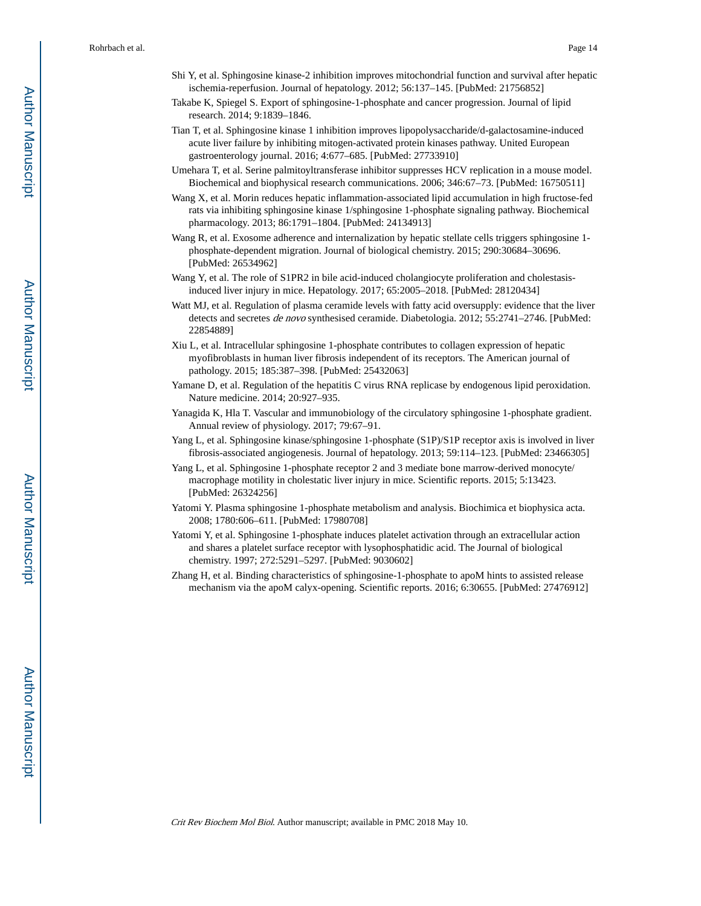- Shi Y, et al. Sphingosine kinase-2 inhibition improves mitochondrial function and survival after hepatic ischemia-reperfusion. Journal of hepatology. 2012; 56:137–145. [PubMed: 21756852]
- Takabe K, Spiegel S. Export of sphingosine-1-phosphate and cancer progression. Journal of lipid research. 2014; 9:1839–1846.
- Tian T, et al. Sphingosine kinase 1 inhibition improves lipopolysaccharide/d-galactosamine-induced acute liver failure by inhibiting mitogen-activated protein kinases pathway. United European gastroenterology journal. 2016; 4:677–685. [PubMed: 27733910]
- Umehara T, et al. Serine palmitoyltransferase inhibitor suppresses HCV replication in a mouse model. Biochemical and biophysical research communications. 2006; 346:67–73. [PubMed: 16750511]
- Wang X, et al. Morin reduces hepatic inflammation-associated lipid accumulation in high fructose-fed rats via inhibiting sphingosine kinase 1/sphingosine 1-phosphate signaling pathway. Biochemical pharmacology. 2013; 86:1791–1804. [PubMed: 24134913]
- Wang R, et al. Exosome adherence and internalization by hepatic stellate cells triggers sphingosine 1 phosphate-dependent migration. Journal of biological chemistry. 2015; 290:30684–30696. [PubMed: 26534962]
- Wang Y, et al. The role of S1PR2 in bile acid-induced cholangiocyte proliferation and cholestasisinduced liver injury in mice. Hepatology. 2017; 65:2005–2018. [PubMed: 28120434]
- Watt MJ, et al. Regulation of plasma ceramide levels with fatty acid oversupply: evidence that the liver detects and secretes *de novo* synthesised ceramide. Diabetologia. 2012; 55:2741–2746. [PubMed: 22854889]
- Xiu L, et al. Intracellular sphingosine 1-phosphate contributes to collagen expression of hepatic myofibroblasts in human liver fibrosis independent of its receptors. The American journal of pathology. 2015; 185:387–398. [PubMed: 25432063]
- Yamane D, et al. Regulation of the hepatitis C virus RNA replicase by endogenous lipid peroxidation. Nature medicine. 2014; 20:927–935.
- Yanagida K, Hla T. Vascular and immunobiology of the circulatory sphingosine 1-phosphate gradient. Annual review of physiology. 2017; 79:67–91.
- Yang L, et al. Sphingosine kinase/sphingosine 1-phosphate (S1P)/S1P receptor axis is involved in liver fibrosis-associated angiogenesis. Journal of hepatology. 2013; 59:114–123. [PubMed: 23466305]
- Yang L, et al. Sphingosine 1-phosphate receptor 2 and 3 mediate bone marrow-derived monocyte/ macrophage motility in cholestatic liver injury in mice. Scientific reports. 2015; 5:13423. [PubMed: 26324256]
- Yatomi Y. Plasma sphingosine 1-phosphate metabolism and analysis. Biochimica et biophysica acta. 2008; 1780:606–611. [PubMed: 17980708]
- Yatomi Y, et al. Sphingosine 1-phosphate induces platelet activation through an extracellular action and shares a platelet surface receptor with lysophosphatidic acid. The Journal of biological chemistry. 1997; 272:5291–5297. [PubMed: 9030602]
- Zhang H, et al. Binding characteristics of sphingosine-1-phosphate to apoM hints to assisted release mechanism via the apoM calyx-opening. Scientific reports. 2016; 6:30655. [PubMed: 27476912]

Author Manuscript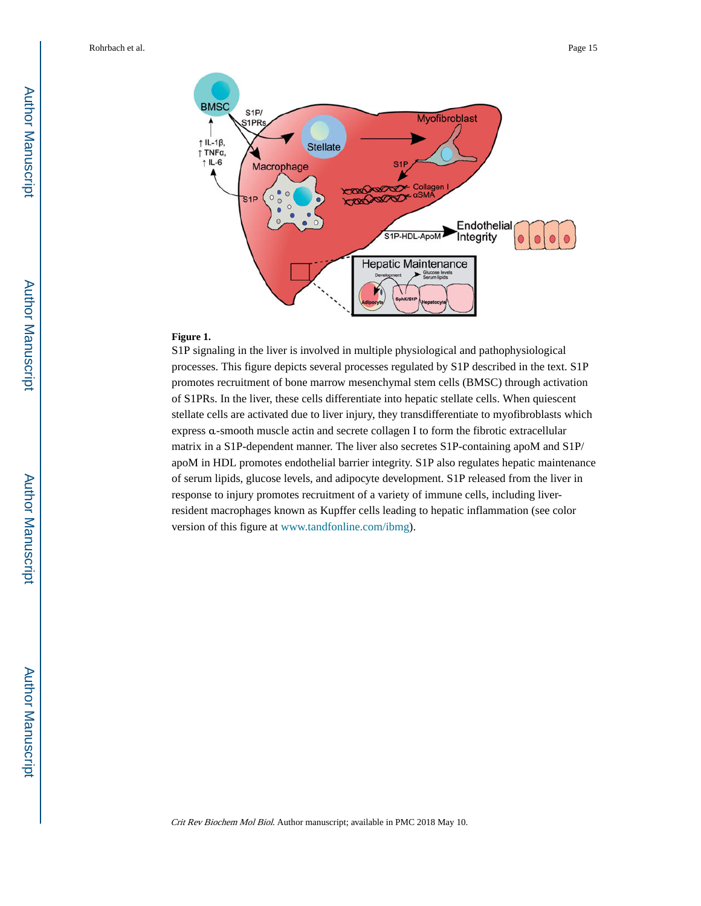

#### **Figure 1.**

S1P signaling in the liver is involved in multiple physiological and pathophysiological processes. This figure depicts several processes regulated by S1P described in the text. S1P promotes recruitment of bone marrow mesenchymal stem cells (BMSC) through activation of S1PRs. In the liver, these cells differentiate into hepatic stellate cells. When quiescent stellate cells are activated due to liver injury, they transdifferentiate to myofibroblasts which express α-smooth muscle actin and secrete collagen I to form the fibrotic extracellular matrix in a S1P-dependent manner. The liver also secretes S1P-containing apoM and S1P/ apoM in HDL promotes endothelial barrier integrity. S1P also regulates hepatic maintenance of serum lipids, glucose levels, and adipocyte development. S1P released from the liver in response to injury promotes recruitment of a variety of immune cells, including liverresident macrophages known as Kupffer cells leading to hepatic inflammation (see color version of this figure at [www.tandfonline.com/ibmg\)](http://www.tandfonline.com/ibmg).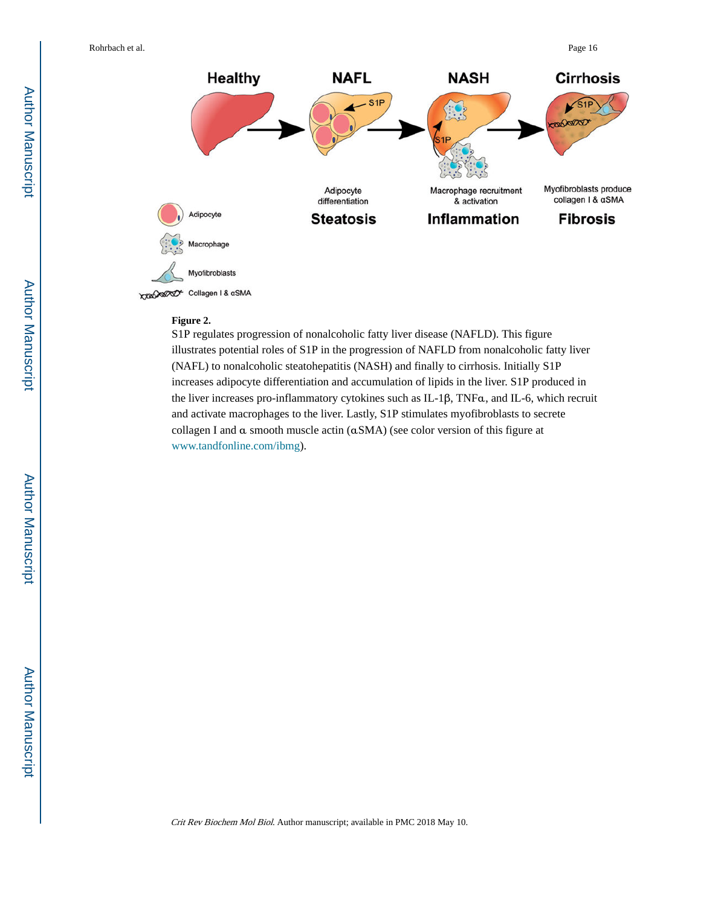

#### **Figure 2.**

S1P regulates progression of nonalcoholic fatty liver disease (NAFLD). This figure illustrates potential roles of S1P in the progression of NAFLD from nonalcoholic fatty liver (NAFL) to nonalcoholic steatohepatitis (NASH) and finally to cirrhosis. Initially S1P increases adipocyte differentiation and accumulation of lipids in the liver. S1P produced in the liver increases pro-inflammatory cytokines such as IL-1β, TNFα, and IL-6, which recruit and activate macrophages to the liver. Lastly, S1P stimulates myofibroblasts to secrete collagen I and α smooth muscle actin (αSMA) (see color version of this figure at [www.tandfonline.com/ibmg](http://www.tandfonline.com/ibmg)).